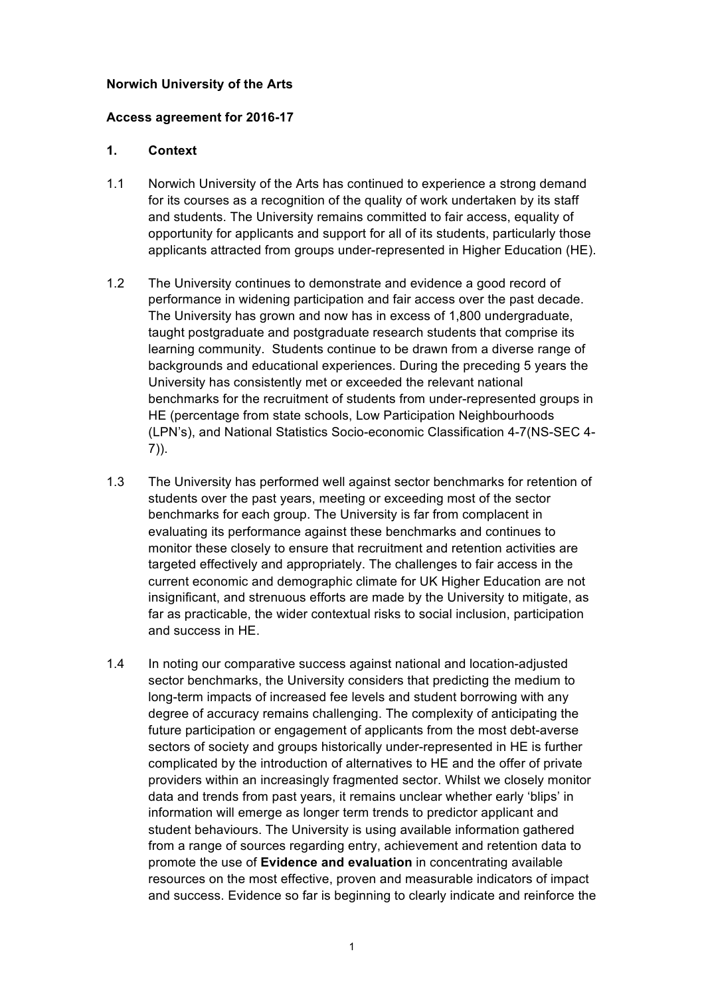#### **Norwich University of the Arts**

#### **Access agreement for 2016-17**

# **1. Context**

- 1.1 Norwich University of the Arts has continued to experience a strong demand for its courses as a recognition of the quality of work undertaken by its staff and students. The University remains committed to fair access, equality of opportunity for applicants and support for all of its students, particularly those applicants attracted from groups under-represented in Higher Education (HE).
- 1.2 The University continues to demonstrate and evidence a good record of performance in widening participation and fair access over the past decade. The University has grown and now has in excess of 1,800 undergraduate, taught postgraduate and postgraduate research students that comprise its learning community. Students continue to be drawn from a diverse range of backgrounds and educational experiences. During the preceding 5 years the University has consistently met or exceeded the relevant national benchmarks for the recruitment of students from under-represented groups in HE (percentage from state schools, Low Participation Neighbourhoods (LPN's), and National Statistics Socio-economic Classification 4-7(NS-SEC 4- 7)).
- 1.3 The University has performed well against sector benchmarks for retention of students over the past years, meeting or exceeding most of the sector benchmarks for each group. The University is far from complacent in evaluating its performance against these benchmarks and continues to monitor these closely to ensure that recruitment and retention activities are targeted effectively and appropriately. The challenges to fair access in the current economic and demographic climate for UK Higher Education are not insignificant, and strenuous efforts are made by the University to mitigate, as far as practicable, the wider contextual risks to social inclusion, participation and success in HE.
- 1.4 In noting our comparative success against national and location-adjusted sector benchmarks, the University considers that predicting the medium to long-term impacts of increased fee levels and student borrowing with any degree of accuracy remains challenging. The complexity of anticipating the future participation or engagement of applicants from the most debt-averse sectors of society and groups historically under-represented in HE is further complicated by the introduction of alternatives to HE and the offer of private providers within an increasingly fragmented sector. Whilst we closely monitor data and trends from past years, it remains unclear whether early 'blips' in information will emerge as longer term trends to predictor applicant and student behaviours. The University is using available information gathered from a range of sources regarding entry, achievement and retention data to promote the use of **Evidence and evaluation** in concentrating available resources on the most effective, proven and measurable indicators of impact and success. Evidence so far is beginning to clearly indicate and reinforce the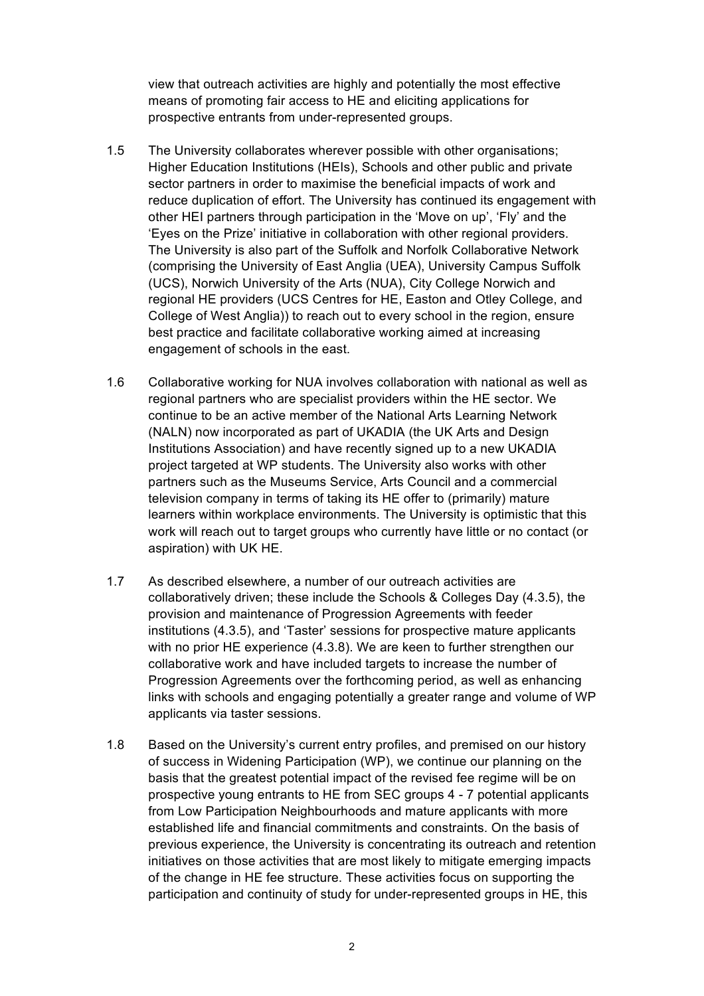view that outreach activities are highly and potentially the most effective means of promoting fair access to HE and eliciting applications for prospective entrants from under-represented groups.

- 1.5 The University collaborates wherever possible with other organisations; Higher Education Institutions (HEIs), Schools and other public and private sector partners in order to maximise the beneficial impacts of work and reduce duplication of effort. The University has continued its engagement with other HEI partners through participation in the 'Move on up', 'Fly' and the 'Eyes on the Prize' initiative in collaboration with other regional providers. The University is also part of the Suffolk and Norfolk Collaborative Network (comprising the University of East Anglia (UEA), University Campus Suffolk (UCS), Norwich University of the Arts (NUA), City College Norwich and regional HE providers (UCS Centres for HE, Easton and Otley College, and College of West Anglia)) to reach out to every school in the region, ensure best practice and facilitate collaborative working aimed at increasing engagement of schools in the east.
- 1.6 Collaborative working for NUA involves collaboration with national as well as regional partners who are specialist providers within the HE sector. We continue to be an active member of the National Arts Learning Network (NALN) now incorporated as part of UKADIA (the UK Arts and Design Institutions Association) and have recently signed up to a new UKADIA project targeted at WP students. The University also works with other partners such as the Museums Service, Arts Council and a commercial television company in terms of taking its HE offer to (primarily) mature learners within workplace environments. The University is optimistic that this work will reach out to target groups who currently have little or no contact (or aspiration) with UK HE.
- 1.7 As described elsewhere, a number of our outreach activities are collaboratively driven; these include the Schools & Colleges Day (4.3.5), the provision and maintenance of Progression Agreements with feeder institutions (4.3.5), and 'Taster' sessions for prospective mature applicants with no prior HE experience (4.3.8). We are keen to further strengthen our collaborative work and have included targets to increase the number of Progression Agreements over the forthcoming period, as well as enhancing links with schools and engaging potentially a greater range and volume of WP applicants via taster sessions.
- 1.8 Based on the University's current entry profiles, and premised on our history of success in Widening Participation (WP), we continue our planning on the basis that the greatest potential impact of the revised fee regime will be on prospective young entrants to HE from SEC groups 4 - 7 potential applicants from Low Participation Neighbourhoods and mature applicants with more established life and financial commitments and constraints. On the basis of previous experience, the University is concentrating its outreach and retention initiatives on those activities that are most likely to mitigate emerging impacts of the change in HE fee structure. These activities focus on supporting the participation and continuity of study for under-represented groups in HE, this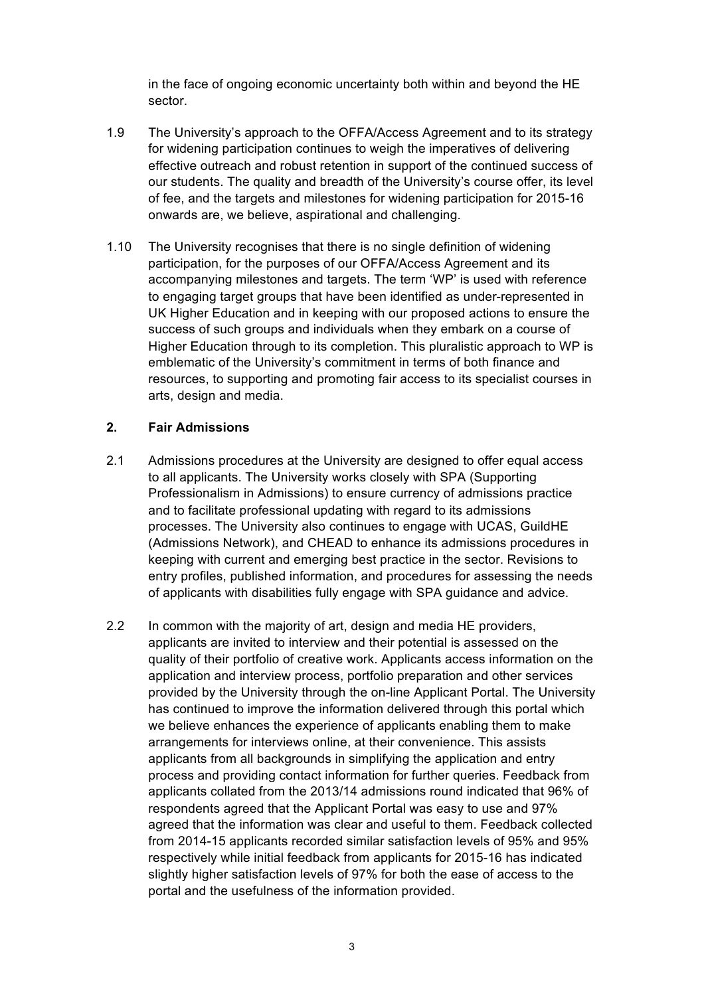in the face of ongoing economic uncertainty both within and beyond the HE sector.

- 1.9 The University's approach to the OFFA/Access Agreement and to its strategy for widening participation continues to weigh the imperatives of delivering effective outreach and robust retention in support of the continued success of our students. The quality and breadth of the University's course offer, its level of fee, and the targets and milestones for widening participation for 2015-16 onwards are, we believe, aspirational and challenging.
- 1.10 The University recognises that there is no single definition of widening participation, for the purposes of our OFFA/Access Agreement and its accompanying milestones and targets. The term 'WP' is used with reference to engaging target groups that have been identified as under-represented in UK Higher Education and in keeping with our proposed actions to ensure the success of such groups and individuals when they embark on a course of Higher Education through to its completion. This pluralistic approach to WP is emblematic of the University's commitment in terms of both finance and resources, to supporting and promoting fair access to its specialist courses in arts, design and media.

# **2. Fair Admissions**

- 2.1 Admissions procedures at the University are designed to offer equal access to all applicants. The University works closely with SPA (Supporting Professionalism in Admissions) to ensure currency of admissions practice and to facilitate professional updating with regard to its admissions processes. The University also continues to engage with UCAS, GuildHE (Admissions Network), and CHEAD to enhance its admissions procedures in keeping with current and emerging best practice in the sector. Revisions to entry profiles, published information, and procedures for assessing the needs of applicants with disabilities fully engage with SPA guidance and advice.
- 2.2 In common with the majority of art, design and media HE providers, applicants are invited to interview and their potential is assessed on the quality of their portfolio of creative work. Applicants access information on the application and interview process, portfolio preparation and other services provided by the University through the on-line Applicant Portal. The University has continued to improve the information delivered through this portal which we believe enhances the experience of applicants enabling them to make arrangements for interviews online, at their convenience. This assists applicants from all backgrounds in simplifying the application and entry process and providing contact information for further queries. Feedback from applicants collated from the 2013/14 admissions round indicated that 96% of respondents agreed that the Applicant Portal was easy to use and 97% agreed that the information was clear and useful to them. Feedback collected from 2014-15 applicants recorded similar satisfaction levels of 95% and 95% respectively while initial feedback from applicants for 2015-16 has indicated slightly higher satisfaction levels of 97% for both the ease of access to the portal and the usefulness of the information provided.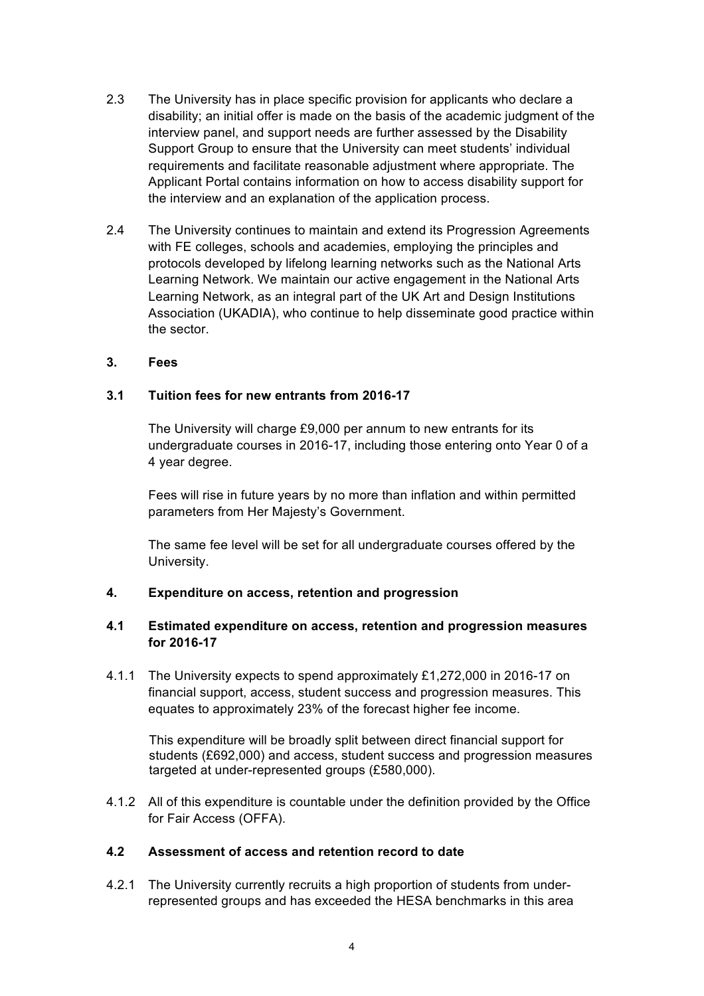- 2.3 The University has in place specific provision for applicants who declare a disability; an initial offer is made on the basis of the academic judgment of the interview panel, and support needs are further assessed by the Disability Support Group to ensure that the University can meet students' individual requirements and facilitate reasonable adjustment where appropriate. The Applicant Portal contains information on how to access disability support for the interview and an explanation of the application process.
- 2.4 The University continues to maintain and extend its Progression Agreements with FE colleges, schools and academies, employing the principles and protocols developed by lifelong learning networks such as the National Arts Learning Network. We maintain our active engagement in the National Arts Learning Network, as an integral part of the UK Art and Design Institutions Association (UKADIA), who continue to help disseminate good practice within the sector.

#### **3. Fees**

#### **3.1 Tuition fees for new entrants from 2016-17**

The University will charge £9,000 per annum to new entrants for its undergraduate courses in 2016-17, including those entering onto Year 0 of a 4 year degree.

Fees will rise in future years by no more than inflation and within permitted parameters from Her Majesty's Government.

The same fee level will be set for all undergraduate courses offered by the University.

#### **4. Expenditure on access, retention and progression**

# **4.1 Estimated expenditure on access, retention and progression measures for 2016-17**

4.1.1 The University expects to spend approximately £1,272,000 in 2016-17 on financial support, access, student success and progression measures. This equates to approximately 23% of the forecast higher fee income.

This expenditure will be broadly split between direct financial support for students (£692,000) and access, student success and progression measures targeted at under-represented groups (£580,000).

4.1.2 All of this expenditure is countable under the definition provided by the Office for Fair Access (OFFA).

#### **4.2 Assessment of access and retention record to date**

4.2.1 The University currently recruits a high proportion of students from underrepresented groups and has exceeded the HESA benchmarks in this area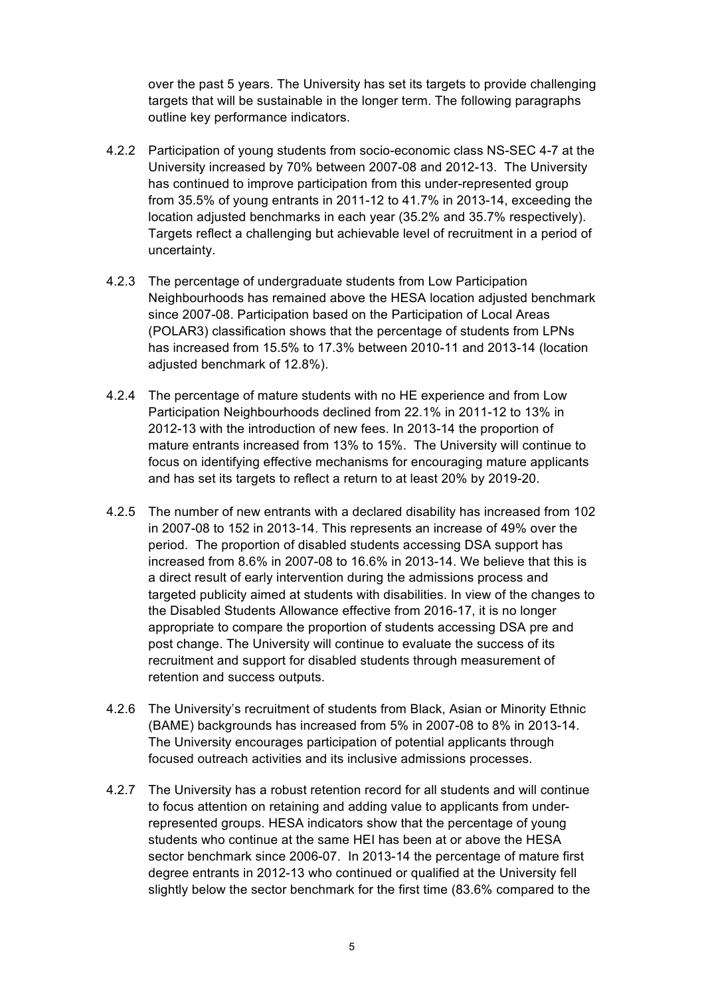over the past 5 years. The University has set its targets to provide challenging targets that will be sustainable in the longer term. The following paragraphs outline key performance indicators.

- 4.2.2 Participation of young students from socio-economic class NS-SEC 4-7 at the University increased by 70% between 2007-08 and 2012-13. The University has continued to improve participation from this under-represented group from 35.5% of young entrants in 2011-12 to 41.7% in 2013-14, exceeding the location adjusted benchmarks in each year (35.2% and 35.7% respectively). Targets reflect a challenging but achievable level of recruitment in a period of uncertainty.
- 4.2.3 The percentage of undergraduate students from Low Participation Neighbourhoods has remained above the HESA location adjusted benchmark since 2007-08. Participation based on the Participation of Local Areas (POLAR3) classification shows that the percentage of students from LPNs has increased from 15.5% to 17.3% between 2010-11 and 2013-14 (location adjusted benchmark of 12.8%).
- 4.2.4 The percentage of mature students with no HE experience and from Low Participation Neighbourhoods declined from 22.1% in 2011-12 to 13% in 2012-13 with the introduction of new fees. In 2013-14 the proportion of mature entrants increased from 13% to 15%. The University will continue to focus on identifying effective mechanisms for encouraging mature applicants and has set its targets to reflect a return to at least 20% by 2019-20.
- 4.2.5 The number of new entrants with a declared disability has increased from 102 in 2007-08 to 152 in 2013-14. This represents an increase of 49% over the period. The proportion of disabled students accessing DSA support has increased from 8.6% in 2007-08 to 16.6% in 2013-14. We believe that this is a direct result of early intervention during the admissions process and targeted publicity aimed at students with disabilities. In view of the changes to the Disabled Students Allowance effective from 2016-17, it is no longer appropriate to compare the proportion of students accessing DSA pre and post change. The University will continue to evaluate the success of its recruitment and support for disabled students through measurement of retention and success outputs.
- 4.2.6 The University's recruitment of students from Black, Asian or Minority Ethnic (BAME) backgrounds has increased from 5% in 2007-08 to 8% in 2013-14. The University encourages participation of potential applicants through focused outreach activities and its inclusive admissions processes.
- 4.2.7 The University has a robust retention record for all students and will continue to focus attention on retaining and adding value to applicants from underrepresented groups. HESA indicators show that the percentage of young students who continue at the same HEI has been at or above the HESA sector benchmark since 2006-07. In 2013-14 the percentage of mature first degree entrants in 2012-13 who continued or qualified at the University fell slightly below the sector benchmark for the first time (83.6% compared to the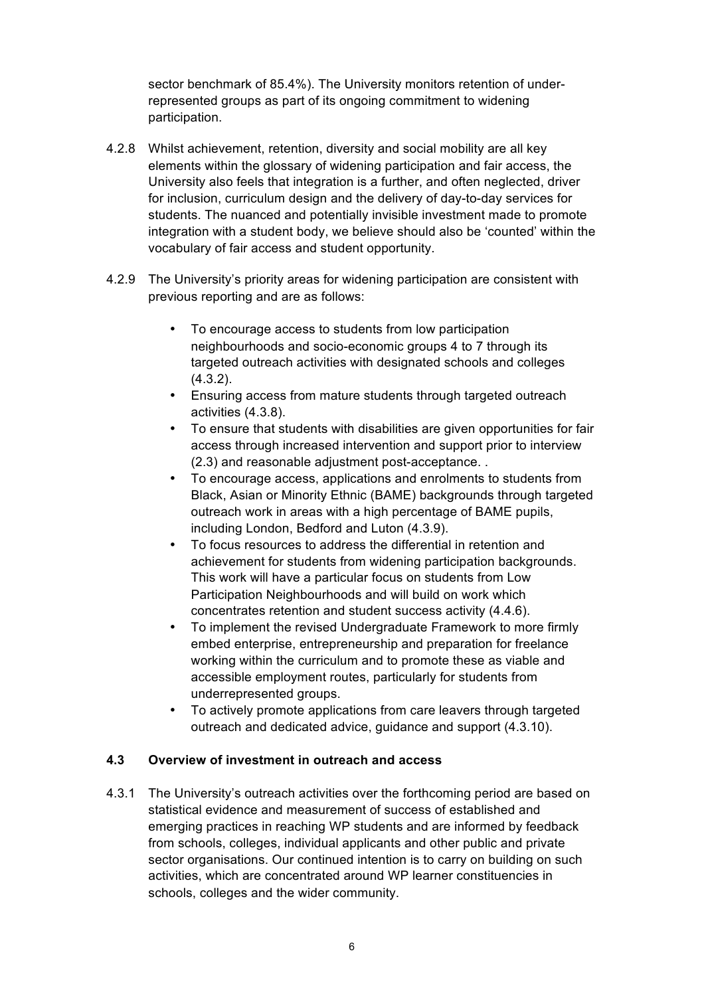sector benchmark of 85.4%). The University monitors retention of underrepresented groups as part of its ongoing commitment to widening participation.

- 4.2.8 Whilst achievement, retention, diversity and social mobility are all key elements within the glossary of widening participation and fair access, the University also feels that integration is a further, and often neglected, driver for inclusion, curriculum design and the delivery of day-to-day services for students. The nuanced and potentially invisible investment made to promote integration with a student body, we believe should also be 'counted' within the vocabulary of fair access and student opportunity.
- 4.2.9 The University's priority areas for widening participation are consistent with previous reporting and are as follows:
	- To encourage access to students from low participation neighbourhoods and socio-economic groups 4 to 7 through its targeted outreach activities with designated schools and colleges (4.3.2).
	- Ensuring access from mature students through targeted outreach activities (4.3.8).
	- To ensure that students with disabilities are given opportunities for fair access through increased intervention and support prior to interview (2.3) and reasonable adjustment post-acceptance. .
	- To encourage access, applications and enrolments to students from Black, Asian or Minority Ethnic (BAME) backgrounds through targeted outreach work in areas with a high percentage of BAME pupils, including London, Bedford and Luton (4.3.9).
	- To focus resources to address the differential in retention and achievement for students from widening participation backgrounds. This work will have a particular focus on students from Low Participation Neighbourhoods and will build on work which concentrates retention and student success activity (4.4.6).
	- To implement the revised Undergraduate Framework to more firmly embed enterprise, entrepreneurship and preparation for freelance working within the curriculum and to promote these as viable and accessible employment routes, particularly for students from underrepresented groups.
	- To actively promote applications from care leavers through targeted outreach and dedicated advice, guidance and support (4.3.10).

# **4.3 Overview of investment in outreach and access**

4.3.1 The University's outreach activities over the forthcoming period are based on statistical evidence and measurement of success of established and emerging practices in reaching WP students and are informed by feedback from schools, colleges, individual applicants and other public and private sector organisations. Our continued intention is to carry on building on such activities, which are concentrated around WP learner constituencies in schools, colleges and the wider community.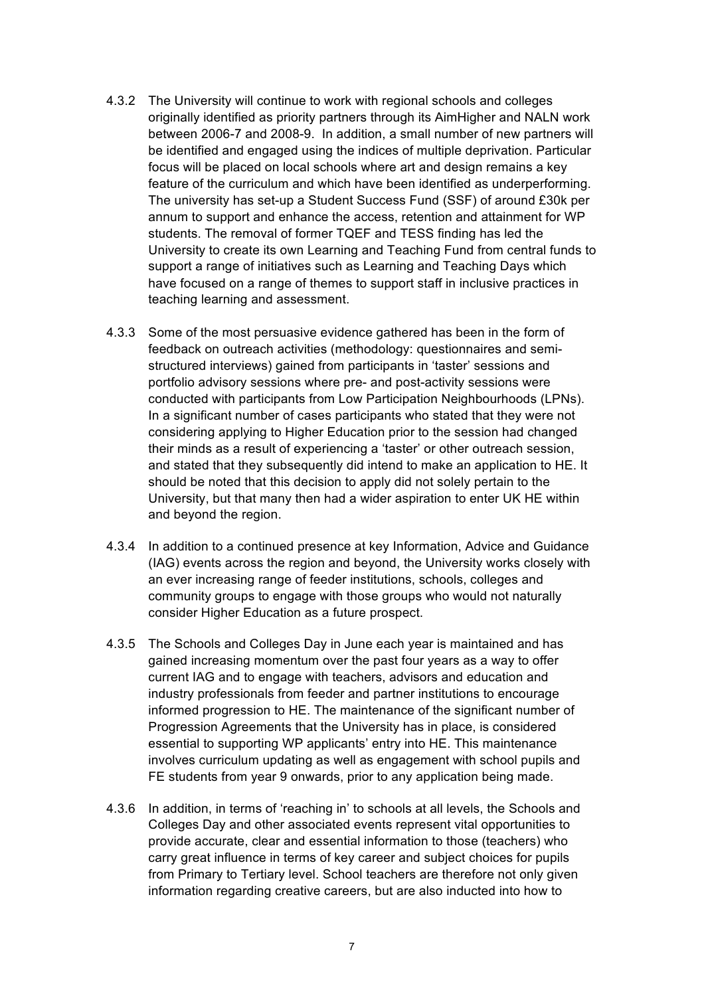- 4.3.2 The University will continue to work with regional schools and colleges originally identified as priority partners through its AimHigher and NALN work between 2006-7 and 2008-9. In addition, a small number of new partners will be identified and engaged using the indices of multiple deprivation. Particular focus will be placed on local schools where art and design remains a key feature of the curriculum and which have been identified as underperforming. The university has set-up a Student Success Fund (SSF) of around £30k per annum to support and enhance the access, retention and attainment for WP students. The removal of former TQEF and TESS finding has led the University to create its own Learning and Teaching Fund from central funds to support a range of initiatives such as Learning and Teaching Days which have focused on a range of themes to support staff in inclusive practices in teaching learning and assessment.
- 4.3.3 Some of the most persuasive evidence gathered has been in the form of feedback on outreach activities (methodology: questionnaires and semistructured interviews) gained from participants in 'taster' sessions and portfolio advisory sessions where pre- and post-activity sessions were conducted with participants from Low Participation Neighbourhoods (LPNs). In a significant number of cases participants who stated that they were not considering applying to Higher Education prior to the session had changed their minds as a result of experiencing a 'taster' or other outreach session, and stated that they subsequently did intend to make an application to HE. It should be noted that this decision to apply did not solely pertain to the University, but that many then had a wider aspiration to enter UK HE within and beyond the region.
- 4.3.4 In addition to a continued presence at key Information, Advice and Guidance (IAG) events across the region and beyond, the University works closely with an ever increasing range of feeder institutions, schools, colleges and community groups to engage with those groups who would not naturally consider Higher Education as a future prospect.
- 4.3.5 The Schools and Colleges Day in June each year is maintained and has gained increasing momentum over the past four years as a way to offer current IAG and to engage with teachers, advisors and education and industry professionals from feeder and partner institutions to encourage informed progression to HE. The maintenance of the significant number of Progression Agreements that the University has in place, is considered essential to supporting WP applicants' entry into HE. This maintenance involves curriculum updating as well as engagement with school pupils and FE students from year 9 onwards, prior to any application being made.
- 4.3.6 In addition, in terms of 'reaching in' to schools at all levels, the Schools and Colleges Day and other associated events represent vital opportunities to provide accurate, clear and essential information to those (teachers) who carry great influence in terms of key career and subject choices for pupils from Primary to Tertiary level. School teachers are therefore not only given information regarding creative careers, but are also inducted into how to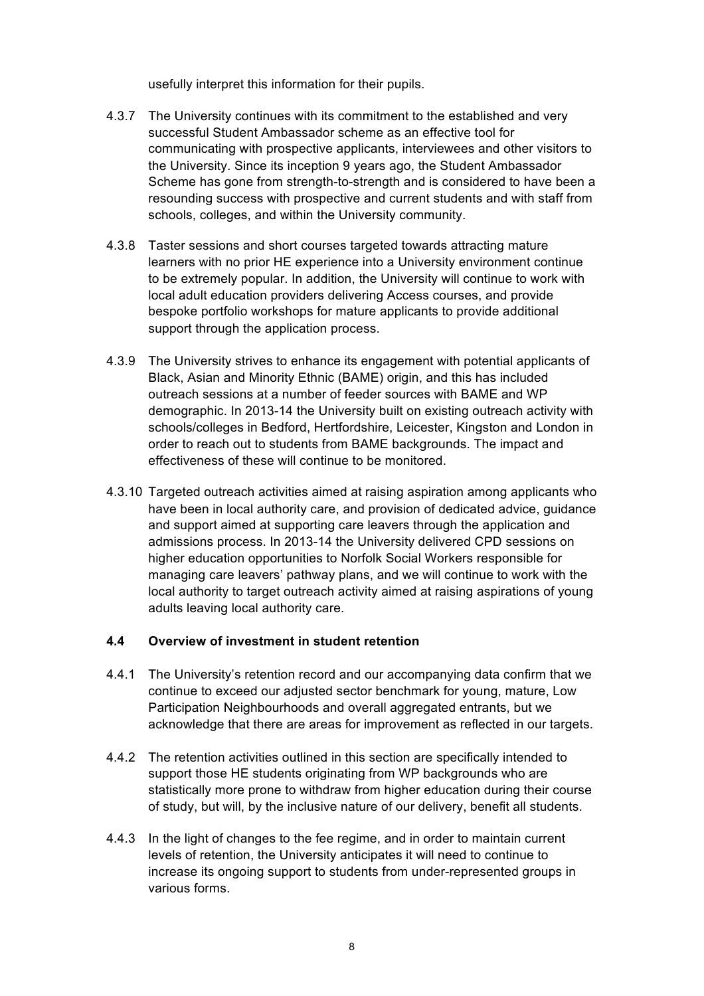usefully interpret this information for their pupils.

- 4.3.7 The University continues with its commitment to the established and very successful Student Ambassador scheme as an effective tool for communicating with prospective applicants, interviewees and other visitors to the University. Since its inception 9 years ago, the Student Ambassador Scheme has gone from strength-to-strength and is considered to have been a resounding success with prospective and current students and with staff from schools, colleges, and within the University community.
- 4.3.8 Taster sessions and short courses targeted towards attracting mature learners with no prior HE experience into a University environment continue to be extremely popular. In addition, the University will continue to work with local adult education providers delivering Access courses, and provide bespoke portfolio workshops for mature applicants to provide additional support through the application process.
- 4.3.9 The University strives to enhance its engagement with potential applicants of Black, Asian and Minority Ethnic (BAME) origin, and this has included outreach sessions at a number of feeder sources with BAME and WP demographic. In 2013-14 the University built on existing outreach activity with schools/colleges in Bedford, Hertfordshire, Leicester, Kingston and London in order to reach out to students from BAME backgrounds. The impact and effectiveness of these will continue to be monitored.
- 4.3.10 Targeted outreach activities aimed at raising aspiration among applicants who have been in local authority care, and provision of dedicated advice, guidance and support aimed at supporting care leavers through the application and admissions process. In 2013-14 the University delivered CPD sessions on higher education opportunities to Norfolk Social Workers responsible for managing care leavers' pathway plans, and we will continue to work with the local authority to target outreach activity aimed at raising aspirations of young adults leaving local authority care.

# **4.4 Overview of investment in student retention**

- 4.4.1 The University's retention record and our accompanying data confirm that we continue to exceed our adjusted sector benchmark for young, mature, Low Participation Neighbourhoods and overall aggregated entrants, but we acknowledge that there are areas for improvement as reflected in our targets.
- 4.4.2 The retention activities outlined in this section are specifically intended to support those HE students originating from WP backgrounds who are statistically more prone to withdraw from higher education during their course of study, but will, by the inclusive nature of our delivery, benefit all students.
- 4.4.3 In the light of changes to the fee regime, and in order to maintain current levels of retention, the University anticipates it will need to continue to increase its ongoing support to students from under-represented groups in various forms.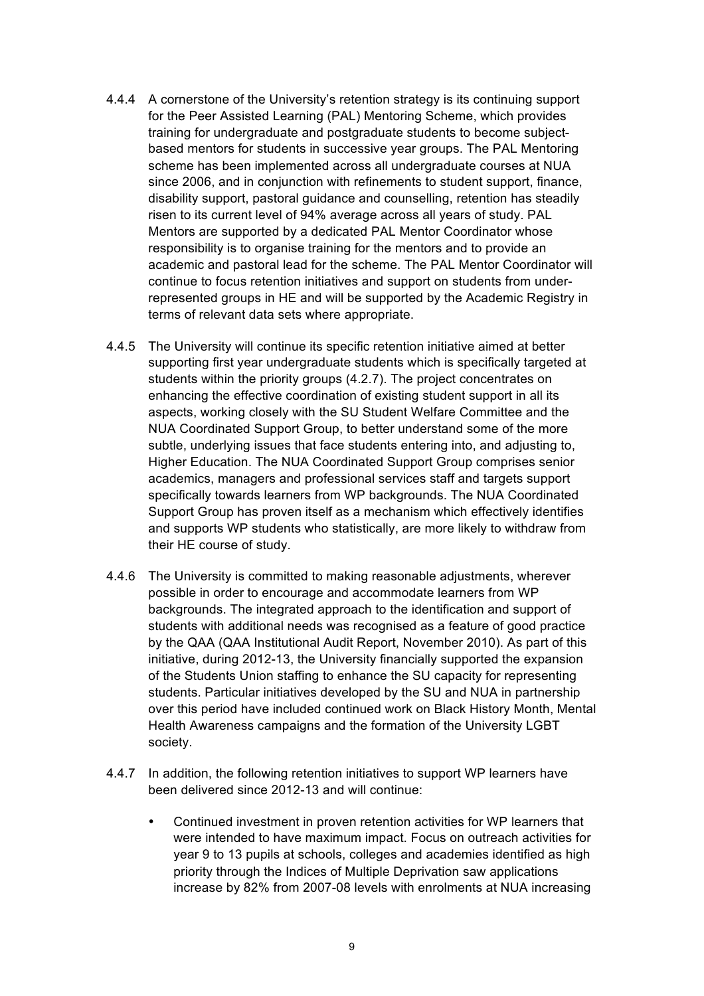- 4.4.4 A cornerstone of the University's retention strategy is its continuing support for the Peer Assisted Learning (PAL) Mentoring Scheme, which provides training for undergraduate and postgraduate students to become subjectbased mentors for students in successive year groups. The PAL Mentoring scheme has been implemented across all undergraduate courses at NUA since 2006, and in conjunction with refinements to student support, finance, disability support, pastoral guidance and counselling, retention has steadily risen to its current level of 94% average across all years of study. PAL Mentors are supported by a dedicated PAL Mentor Coordinator whose responsibility is to organise training for the mentors and to provide an academic and pastoral lead for the scheme. The PAL Mentor Coordinator will continue to focus retention initiatives and support on students from underrepresented groups in HE and will be supported by the Academic Registry in terms of relevant data sets where appropriate.
- 4.4.5 The University will continue its specific retention initiative aimed at better supporting first year undergraduate students which is specifically targeted at students within the priority groups (4.2.7). The project concentrates on enhancing the effective coordination of existing student support in all its aspects, working closely with the SU Student Welfare Committee and the NUA Coordinated Support Group, to better understand some of the more subtle, underlying issues that face students entering into, and adjusting to, Higher Education. The NUA Coordinated Support Group comprises senior academics, managers and professional services staff and targets support specifically towards learners from WP backgrounds. The NUA Coordinated Support Group has proven itself as a mechanism which effectively identifies and supports WP students who statistically, are more likely to withdraw from their HE course of study.
- 4.4.6 The University is committed to making reasonable adjustments, wherever possible in order to encourage and accommodate learners from WP backgrounds. The integrated approach to the identification and support of students with additional needs was recognised as a feature of good practice by the QAA (QAA Institutional Audit Report, November 2010). As part of this initiative, during 2012-13, the University financially supported the expansion of the Students Union staffing to enhance the SU capacity for representing students. Particular initiatives developed by the SU and NUA in partnership over this period have included continued work on Black History Month, Mental Health Awareness campaigns and the formation of the University LGBT society.
- 4.4.7 In addition, the following retention initiatives to support WP learners have been delivered since 2012-13 and will continue:
	- Continued investment in proven retention activities for WP learners that were intended to have maximum impact. Focus on outreach activities for year 9 to 13 pupils at schools, colleges and academies identified as high priority through the Indices of Multiple Deprivation saw applications increase by 82% from 2007-08 levels with enrolments at NUA increasing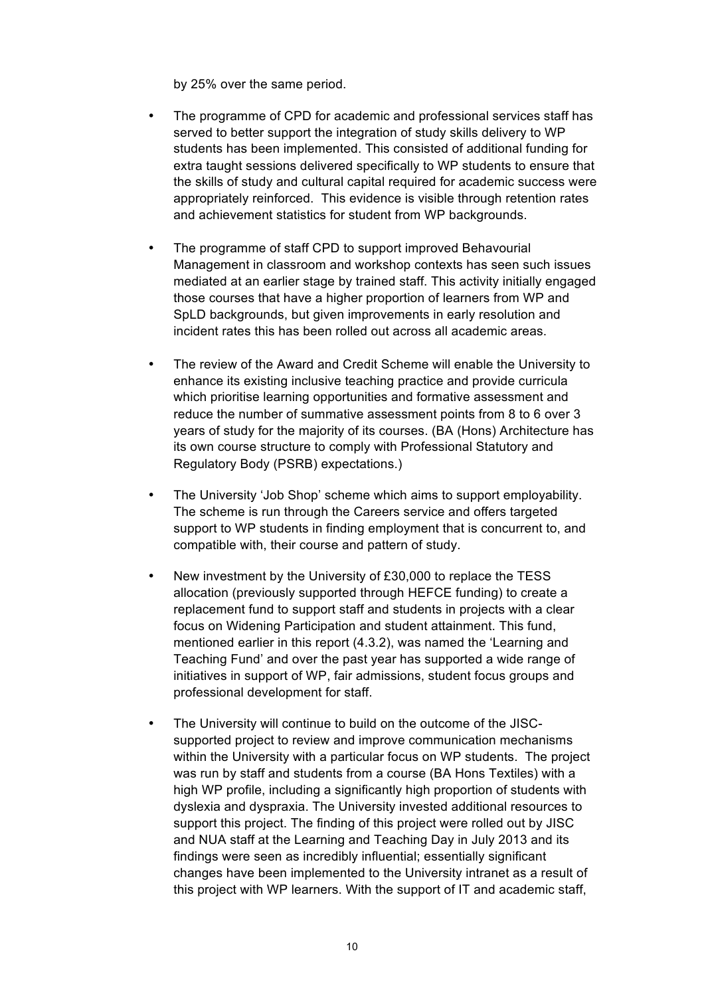by 25% over the same period.

- The programme of CPD for academic and professional services staff has served to better support the integration of study skills delivery to WP students has been implemented. This consisted of additional funding for extra taught sessions delivered specifically to WP students to ensure that the skills of study and cultural capital required for academic success were appropriately reinforced. This evidence is visible through retention rates and achievement statistics for student from WP backgrounds.
- The programme of staff CPD to support improved Behavourial Management in classroom and workshop contexts has seen such issues mediated at an earlier stage by trained staff. This activity initially engaged those courses that have a higher proportion of learners from WP and SpLD backgrounds, but given improvements in early resolution and incident rates this has been rolled out across all academic areas.
- The review of the Award and Credit Scheme will enable the University to enhance its existing inclusive teaching practice and provide curricula which prioritise learning opportunities and formative assessment and reduce the number of summative assessment points from 8 to 6 over 3 years of study for the majority of its courses. (BA (Hons) Architecture has its own course structure to comply with Professional Statutory and Regulatory Body (PSRB) expectations.)
- The University 'Job Shop' scheme which aims to support employability. The scheme is run through the Careers service and offers targeted support to WP students in finding employment that is concurrent to, and compatible with, their course and pattern of study.
- New investment by the University of £30,000 to replace the TESS allocation (previously supported through HEFCE funding) to create a replacement fund to support staff and students in projects with a clear focus on Widening Participation and student attainment. This fund, mentioned earlier in this report (4.3.2), was named the 'Learning and Teaching Fund' and over the past year has supported a wide range of initiatives in support of WP, fair admissions, student focus groups and professional development for staff.
- The University will continue to build on the outcome of the JISCsupported project to review and improve communication mechanisms within the University with a particular focus on WP students. The project was run by staff and students from a course (BA Hons Textiles) with a high WP profile, including a significantly high proportion of students with dyslexia and dyspraxia. The University invested additional resources to support this project. The finding of this project were rolled out by JISC and NUA staff at the Learning and Teaching Day in July 2013 and its findings were seen as incredibly influential; essentially significant changes have been implemented to the University intranet as a result of this project with WP learners. With the support of IT and academic staff,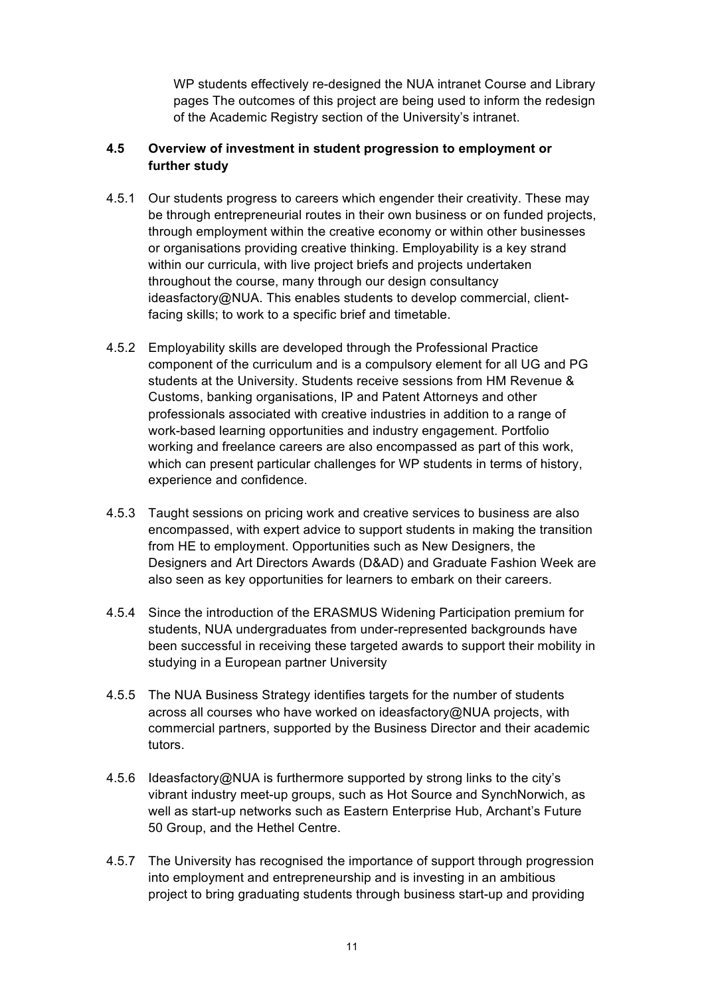WP students effectively re-designed the NUA intranet Course and Library pages The outcomes of this project are being used to inform the redesign of the Academic Registry section of the University's intranet.

# **4.5 Overview of investment in student progression to employment or further study**

- 4.5.1 Our students progress to careers which engender their creativity. These may be through entrepreneurial routes in their own business or on funded projects, through employment within the creative economy or within other businesses or organisations providing creative thinking. Employability is a key strand within our curricula, with live project briefs and projects undertaken throughout the course, many through our design consultancy ideasfactory@NUA. This enables students to develop commercial, clientfacing skills; to work to a specific brief and timetable.
- 4.5.2 Employability skills are developed through the Professional Practice component of the curriculum and is a compulsory element for all UG and PG students at the University. Students receive sessions from HM Revenue & Customs, banking organisations, IP and Patent Attorneys and other professionals associated with creative industries in addition to a range of work-based learning opportunities and industry engagement. Portfolio working and freelance careers are also encompassed as part of this work, which can present particular challenges for WP students in terms of history, experience and confidence.
- 4.5.3 Taught sessions on pricing work and creative services to business are also encompassed, with expert advice to support students in making the transition from HE to employment. Opportunities such as New Designers, the Designers and Art Directors Awards (D&AD) and Graduate Fashion Week are also seen as key opportunities for learners to embark on their careers.
- 4.5.4 Since the introduction of the ERASMUS Widening Participation premium for students, NUA undergraduates from under-represented backgrounds have been successful in receiving these targeted awards to support their mobility in studying in a European partner University
- 4.5.5 The NUA Business Strategy identifies targets for the number of students across all courses who have worked on ideasfactory@NUA projects, with commercial partners, supported by the Business Director and their academic tutors.
- 4.5.6 Ideasfactory@NUA is furthermore supported by strong links to the city's vibrant industry meet-up groups, such as Hot Source and SynchNorwich, as well as start-up networks such as Eastern Enterprise Hub, Archant's Future 50 Group, and the Hethel Centre.
- 4.5.7 The University has recognised the importance of support through progression into employment and entrepreneurship and is investing in an ambitious project to bring graduating students through business start-up and providing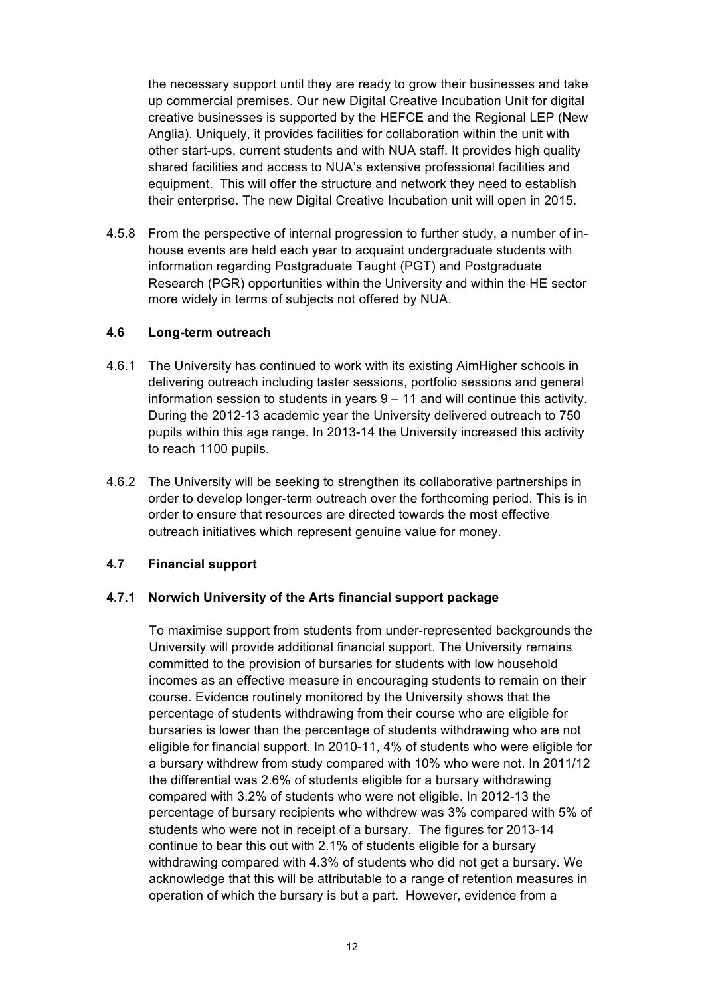the necessary support until they are ready to grow their businesses and take up commercial premises. Our new Digital Creative Incubation Unit for digital creative businesses is supported by the HEFCE and the Regional LEP (New Anglia). Uniquely, it provides facilities for collaboration within the unit with other start-ups, current students and with NUA staff. It provides high quality shared facilities and access to NUA's extensive professional facilities and equipment. This will offer the structure and network they need to establish their enterprise. The new Digital Creative Incubation unit will open in 2015.

4.5.8 From the perspective of internal progression to further study, a number of inhouse events are held each year to acquaint undergraduate students with information regarding Postgraduate Taught (PGT) and Postgraduate Research (PGR) opportunities within the University and within the HE sector more widely in terms of subjects not offered by NUA.

# **4.6 Long-term outreach**

- 4.6.1 The University has continued to work with its existing AimHigher schools in delivering outreach including taster sessions, portfolio sessions and general information session to students in years 9 – 11 and will continue this activity. During the 2012-13 academic year the University delivered outreach to 750 pupils within this age range. In 2013-14 the University increased this activity to reach 1100 pupils.
- 4.6.2 The University will be seeking to strengthen its collaborative partnerships in order to develop longer-term outreach over the forthcoming period. This is in order to ensure that resources are directed towards the most effective outreach initiatives which represent genuine value for money.

# **4.7 Financial support**

# **4.7.1 Norwich University of the Arts financial support package**

To maximise support from students from under-represented backgrounds the University will provide additional financial support. The University remains committed to the provision of bursaries for students with low household incomes as an effective measure in encouraging students to remain on their course. Evidence routinely monitored by the University shows that the percentage of students withdrawing from their course who are eligible for bursaries is lower than the percentage of students withdrawing who are not eligible for financial support. In 2010-11, 4% of students who were eligible for a bursary withdrew from study compared with 10% who were not. In 2011/12 the differential was 2.6% of students eligible for a bursary withdrawing compared with 3.2% of students who were not eligible. In 2012-13 the percentage of bursary recipients who withdrew was 3% compared with 5% of students who were not in receipt of a bursary. The figures for 2013-14 continue to bear this out with 2.1% of students eligible for a bursary withdrawing compared with 4.3% of students who did not get a bursary. We acknowledge that this will be attributable to a range of retention measures in operation of which the bursary is but a part. However, evidence from a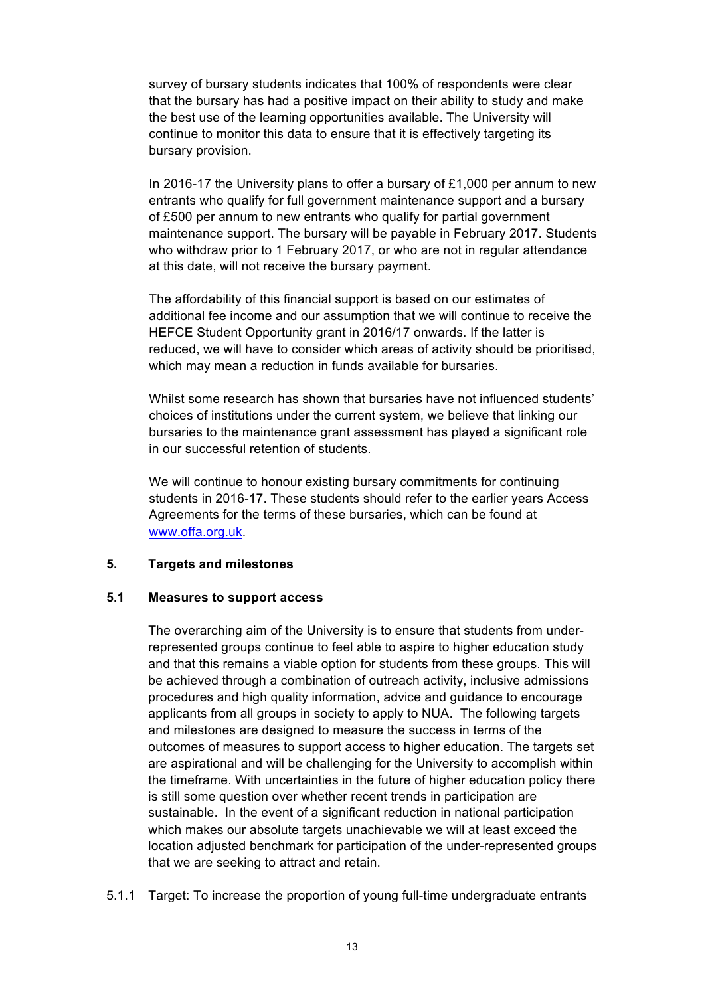survey of bursary students indicates that 100% of respondents were clear that the bursary has had a positive impact on their ability to study and make the best use of the learning opportunities available. The University will continue to monitor this data to ensure that it is effectively targeting its bursary provision.

In 2016-17 the University plans to offer a bursary of  $£1,000$  per annum to new entrants who qualify for full government maintenance support and a bursary of £500 per annum to new entrants who qualify for partial government maintenance support. The bursary will be payable in February 2017. Students who withdraw prior to 1 February 2017, or who are not in regular attendance at this date, will not receive the bursary payment.

The affordability of this financial support is based on our estimates of additional fee income and our assumption that we will continue to receive the HEFCE Student Opportunity grant in 2016/17 onwards. If the latter is reduced, we will have to consider which areas of activity should be prioritised, which may mean a reduction in funds available for bursaries.

Whilst some research has shown that bursaries have not influenced students' choices of institutions under the current system, we believe that linking our bursaries to the maintenance grant assessment has played a significant role in our successful retention of students.

We will continue to honour existing bursary commitments for continuing students in 2016-17. These students should refer to the earlier years Access Agreements for the terms of these bursaries, which can be found at www.offa.org.uk.

# **5. Targets and milestones**

#### **5.1 Measures to support access**

The overarching aim of the University is to ensure that students from underrepresented groups continue to feel able to aspire to higher education study and that this remains a viable option for students from these groups. This will be achieved through a combination of outreach activity, inclusive admissions procedures and high quality information, advice and guidance to encourage applicants from all groups in society to apply to NUA. The following targets and milestones are designed to measure the success in terms of the outcomes of measures to support access to higher education. The targets set are aspirational and will be challenging for the University to accomplish within the timeframe. With uncertainties in the future of higher education policy there is still some question over whether recent trends in participation are sustainable. In the event of a significant reduction in national participation which makes our absolute targets unachievable we will at least exceed the location adjusted benchmark for participation of the under-represented groups that we are seeking to attract and retain.

5.1.1 Target: To increase the proportion of young full-time undergraduate entrants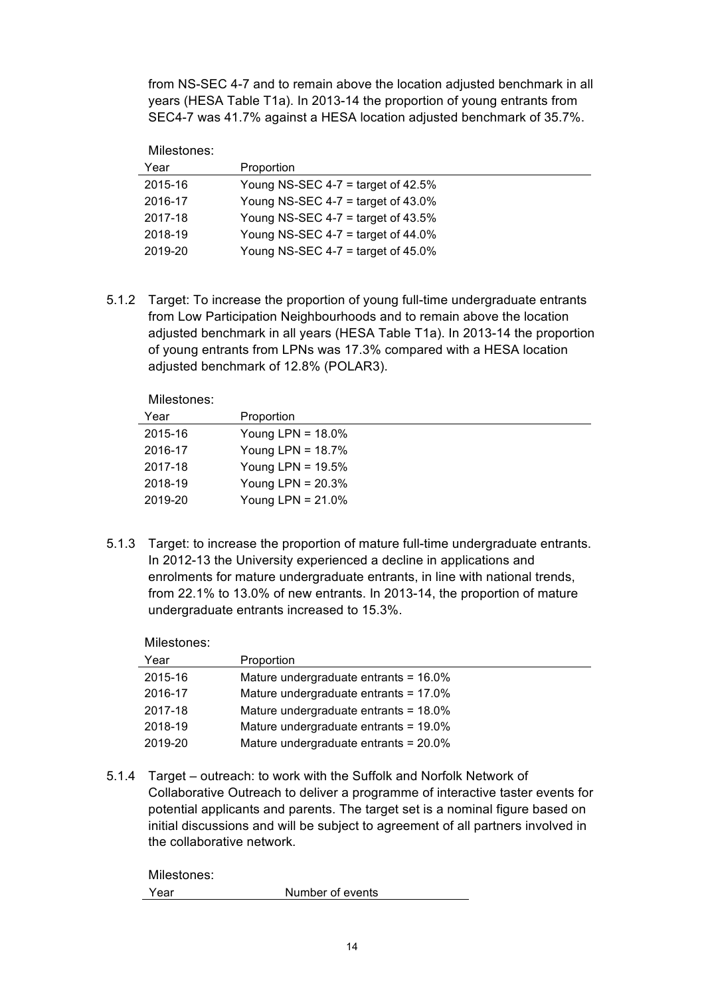from NS-SEC 4-7 and to remain above the location adjusted benchmark in all years (HESA Table T1a). In 2013-14 the proportion of young entrants from SEC4-7 was 41.7% against a HESA location adjusted benchmark of 35.7%.

Milestones:

| Year    | Proportion                            |
|---------|---------------------------------------|
| 2015-16 | Young NS-SEC 4-7 = target of 42.5%    |
| 2016-17 | Young NS-SEC 4-7 = target of $43.0\%$ |
| 2017-18 | Young NS-SEC 4-7 $=$ target of 43.5%  |
| 2018-19 | Young NS-SEC 4-7 = target of $44.0\%$ |
| 2019-20 | Young NS-SEC 4-7 = target of $45.0\%$ |

5.1.2 Target: To increase the proportion of young full-time undergraduate entrants from Low Participation Neighbourhoods and to remain above the location adjusted benchmark in all years (HESA Table T1a). In 2013-14 the proportion of young entrants from LPNs was 17.3% compared with a HESA location adjusted benchmark of 12.8% (POLAR3).

Milestones:

| Proportion           |
|----------------------|
| Young LPN = $18.0\%$ |
| Young LPN = $18.7\%$ |
| Young LPN = $19.5\%$ |
| Young LPN = $20.3\%$ |
| Young LPN = $21.0\%$ |
|                      |

5.1.3 Target: to increase the proportion of mature full-time undergraduate entrants. In 2012-13 the University experienced a decline in applications and enrolments for mature undergraduate entrants, in line with national trends, from 22.1% to 13.0% of new entrants. In 2013-14, the proportion of mature undergraduate entrants increased to 15.3%.

| Milestones: |                                          |
|-------------|------------------------------------------|
| Year        | Proportion                               |
| 2015-16     | Mature undergraduate entrants = $16.0\%$ |
| 2016-17     | Mature undergraduate entrants = $17.0\%$ |
| 2017-18     | Mature undergraduate entrants = 18.0%    |
| 2018-19     | Mature undergraduate entrants = $19.0\%$ |
| 2019-20     | Mature undergraduate entrants = 20.0%    |

5.1.4 Target – outreach: to work with the Suffolk and Norfolk Network of Collaborative Outreach to deliver a programme of interactive taster events for potential applicants and parents. The target set is a nominal figure based on initial discussions and will be subject to agreement of all partners involved in the collaborative network.

| Milestones: |                  |
|-------------|------------------|
| Year        | Number of events |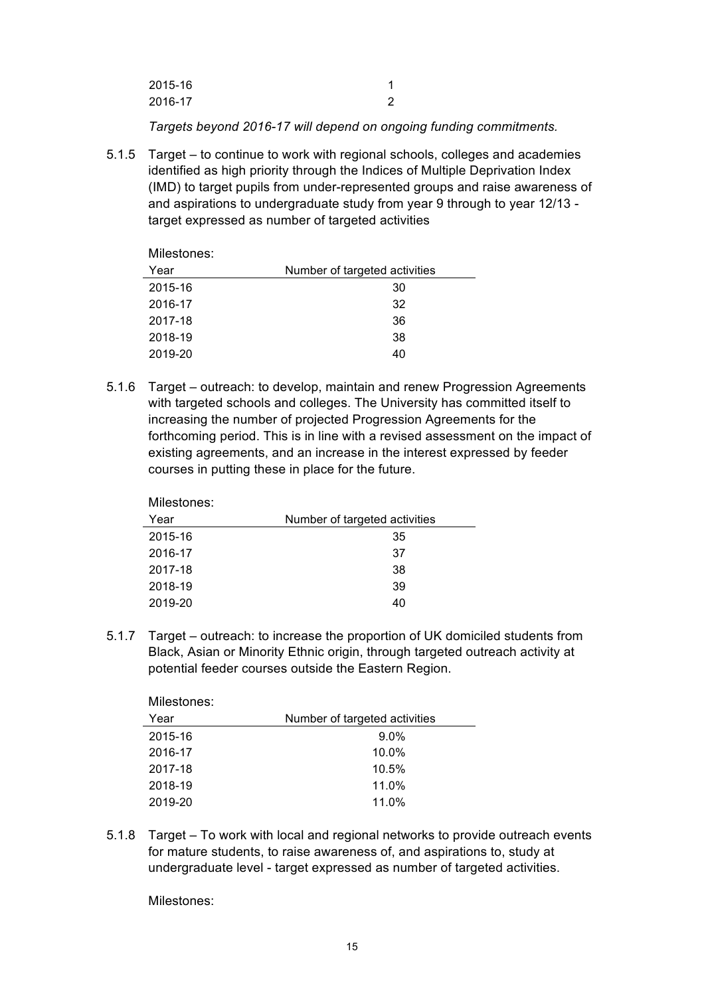| 2015-16 |  |
|---------|--|
| 2016-17 |  |

*Targets beyond 2016-17 will depend on ongoing funding commitments.* 

5.1.5 Target – to continue to work with regional schools, colleges and academies identified as high priority through the Indices of Multiple Deprivation Index (IMD) to target pupils from under-represented groups and raise awareness of and aspirations to undergraduate study from year 9 through to year 12/13 target expressed as number of targeted activities

| Milestones: |                               |
|-------------|-------------------------------|
| Year        | Number of targeted activities |
| 2015-16     | 30                            |
| 2016-17     | 32                            |
| 2017-18     | 36                            |
| 2018-19     | 38                            |
| 2019-20     | 40                            |

5.1.6 Target – outreach: to develop, maintain and renew Progression Agreements with targeted schools and colleges. The University has committed itself to increasing the number of projected Progression Agreements for the forthcoming period. This is in line with a revised assessment on the impact of existing agreements, and an increase in the interest expressed by feeder courses in putting these in place for the future.

| IVIIIGOLUITGO. |                               |
|----------------|-------------------------------|
| Year           | Number of targeted activities |
| 2015-16        | 35                            |
| 2016-17        | 37                            |
| 2017-18        | 38                            |
| 2018-19        | 39                            |
| 2019-20        | 40                            |
|                |                               |

5.1.7 Target – outreach: to increase the proportion of UK domiciled students from Black, Asian or Minority Ethnic origin, through targeted outreach activity at potential feeder courses outside the Eastern Region.

| <b>MILESTONES:</b> |                               |  |
|--------------------|-------------------------------|--|
| Year               | Number of targeted activities |  |
| 2015-16            | $9.0\%$                       |  |
| 2016-17            | $10.0\%$                      |  |
| 2017-18            | 10.5%                         |  |
| 2018-19            | 11.0%                         |  |
| 2019-20            | 11.0%                         |  |
|                    |                               |  |

5.1.8 Target – To work with local and regional networks to provide outreach events for mature students, to raise awareness of, and aspirations to, study at undergraduate level - target expressed as number of targeted activities.

Milestones:

Milostones:

Milestones: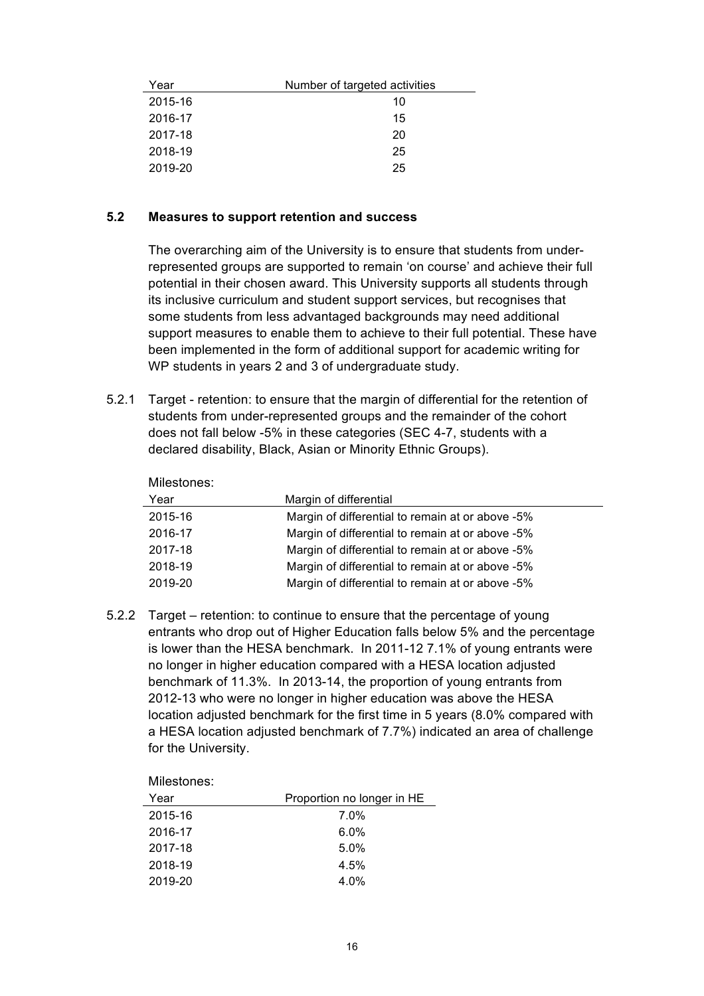| Year    | Number of targeted activities |
|---------|-------------------------------|
| 2015-16 | 10                            |
| 2016-17 | 15                            |
| 2017-18 | 20                            |
| 2018-19 | 25                            |
| 2019-20 | 25                            |

# **5.2 Measures to support retention and success**

The overarching aim of the University is to ensure that students from underrepresented groups are supported to remain 'on course' and achieve their full potential in their chosen award. This University supports all students through its inclusive curriculum and student support services, but recognises that some students from less advantaged backgrounds may need additional support measures to enable them to achieve to their full potential. These have been implemented in the form of additional support for academic writing for WP students in years 2 and 3 of undergraduate study.

5.2.1 Target - retention: to ensure that the margin of differential for the retention of students from under-represented groups and the remainder of the cohort does not fall below -5% in these categories (SEC 4-7, students with a declared disability, Black, Asian or Minority Ethnic Groups).

| Margin of differential                           |
|--------------------------------------------------|
| Margin of differential to remain at or above -5% |
| Margin of differential to remain at or above -5% |
| Margin of differential to remain at or above -5% |
| Margin of differential to remain at or above -5% |
| Margin of differential to remain at or above -5% |
|                                                  |

5.2.2 Target – retention: to continue to ensure that the percentage of young entrants who drop out of Higher Education falls below 5% and the percentage is lower than the HESA benchmark. In 2011-12 7.1% of young entrants were no longer in higher education compared with a HESA location adjusted benchmark of 11.3%. In 2013-14, the proportion of young entrants from 2012-13 who were no longer in higher education was above the HESA location adjusted benchmark for the first time in 5 years (8.0% compared with a HESA location adjusted benchmark of 7.7%) indicated an area of challenge for the University.

Milestones:

| Year    | Proportion no longer in HE |
|---------|----------------------------|
| 2015-16 | $7.0\%$                    |
| 2016-17 | $6.0\%$                    |
| 2017-18 | $5.0\%$                    |
| 2018-19 | 4.5%                       |
| 2019-20 | 4.0%                       |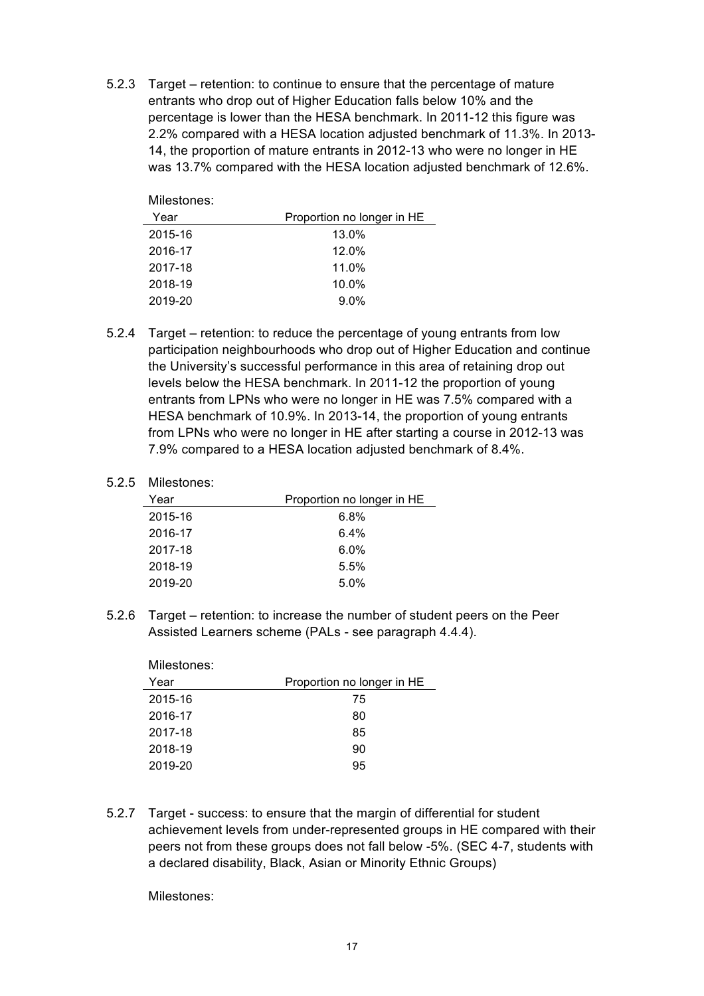5.2.3 Target – retention: to continue to ensure that the percentage of mature entrants who drop out of Higher Education falls below 10% and the percentage is lower than the HESA benchmark. In 2011-12 this figure was 2.2% compared with a HESA location adjusted benchmark of 11.3%. In 2013- 14, the proportion of mature entrants in 2012-13 who were no longer in HE was 13.7% compared with the HESA location adjusted benchmark of 12.6%.

| Milestones: |                            |
|-------------|----------------------------|
| Year        | Proportion no longer in HE |
| 2015-16     | 13.0%                      |
| 2016-17     | 12.0%                      |
| 2017-18     | 11.0%                      |
| 2018-19     | $10.0\%$                   |
| 2019-20     | 9.0%                       |

5.2.4 Target – retention: to reduce the percentage of young entrants from low participation neighbourhoods who drop out of Higher Education and continue the University's successful performance in this area of retaining drop out levels below the HESA benchmark. In 2011-12 the proportion of young entrants from LPNs who were no longer in HE was 7.5% compared with a HESA benchmark of 10.9%. In 2013-14, the proportion of young entrants from LPNs who were no longer in HE after starting a course in 2012-13 was 7.9% compared to a HESA location adjusted benchmark of 8.4%.

#### 5.2.5 Milestones:

| Year    | Proportion no longer in HE |
|---------|----------------------------|
| 2015-16 | 6.8%                       |
| 2016-17 | $6.4\%$                    |
| 2017-18 | $6.0\%$                    |
| 2018-19 | 5.5%                       |
| 2019-20 | 5.0%                       |

5.2.6 Target – retention: to increase the number of student peers on the Peer Assisted Learners scheme (PALs - see paragraph 4.4.4).

| Proportion no longer in HE |
|----------------------------|
| 75                         |
| 80                         |
| 85                         |
| 90                         |
| 95                         |
|                            |

5.2.7 Target - success: to ensure that the margin of differential for student achievement levels from under-represented groups in HE compared with their peers not from these groups does not fall below -5%. (SEC 4-7, students with a declared disability, Black, Asian or Minority Ethnic Groups)

Milestones: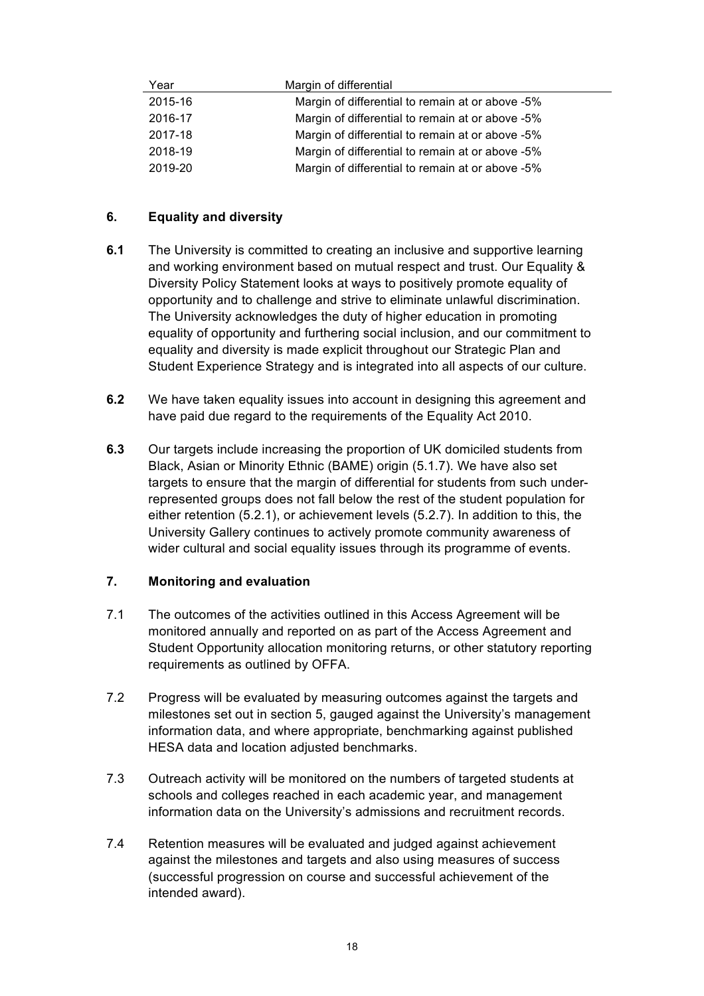| Year    | Margin of differential                           |
|---------|--------------------------------------------------|
| 2015-16 | Margin of differential to remain at or above -5% |
| 2016-17 | Margin of differential to remain at or above -5% |
| 2017-18 | Margin of differential to remain at or above -5% |
| 2018-19 | Margin of differential to remain at or above -5% |
| 2019-20 | Margin of differential to remain at or above -5% |

# **6. Equality and diversity**

- **6.1** The University is committed to creating an inclusive and supportive learning and working environment based on mutual respect and trust. Our Equality & Diversity Policy Statement looks at ways to positively promote equality of opportunity and to challenge and strive to eliminate unlawful discrimination. The University acknowledges the duty of higher education in promoting equality of opportunity and furthering social inclusion, and our commitment to equality and diversity is made explicit throughout our Strategic Plan and Student Experience Strategy and is integrated into all aspects of our culture.
- **6.2** We have taken equality issues into account in designing this agreement and have paid due regard to the requirements of the Equality Act 2010.
- **6.3** Our targets include increasing the proportion of UK domiciled students from Black, Asian or Minority Ethnic (BAME) origin (5.1.7). We have also set targets to ensure that the margin of differential for students from such underrepresented groups does not fall below the rest of the student population for either retention (5.2.1), or achievement levels (5.2.7). In addition to this, the University Gallery continues to actively promote community awareness of wider cultural and social equality issues through its programme of events.

# **7. Monitoring and evaluation**

- 7.1 The outcomes of the activities outlined in this Access Agreement will be monitored annually and reported on as part of the Access Agreement and Student Opportunity allocation monitoring returns, or other statutory reporting requirements as outlined by OFFA.
- 7.2 Progress will be evaluated by measuring outcomes against the targets and milestones set out in section 5, gauged against the University's management information data, and where appropriate, benchmarking against published HESA data and location adjusted benchmarks.
- 7.3 Outreach activity will be monitored on the numbers of targeted students at schools and colleges reached in each academic year, and management information data on the University's admissions and recruitment records.
- 7.4 Retention measures will be evaluated and judged against achievement against the milestones and targets and also using measures of success (successful progression on course and successful achievement of the intended award).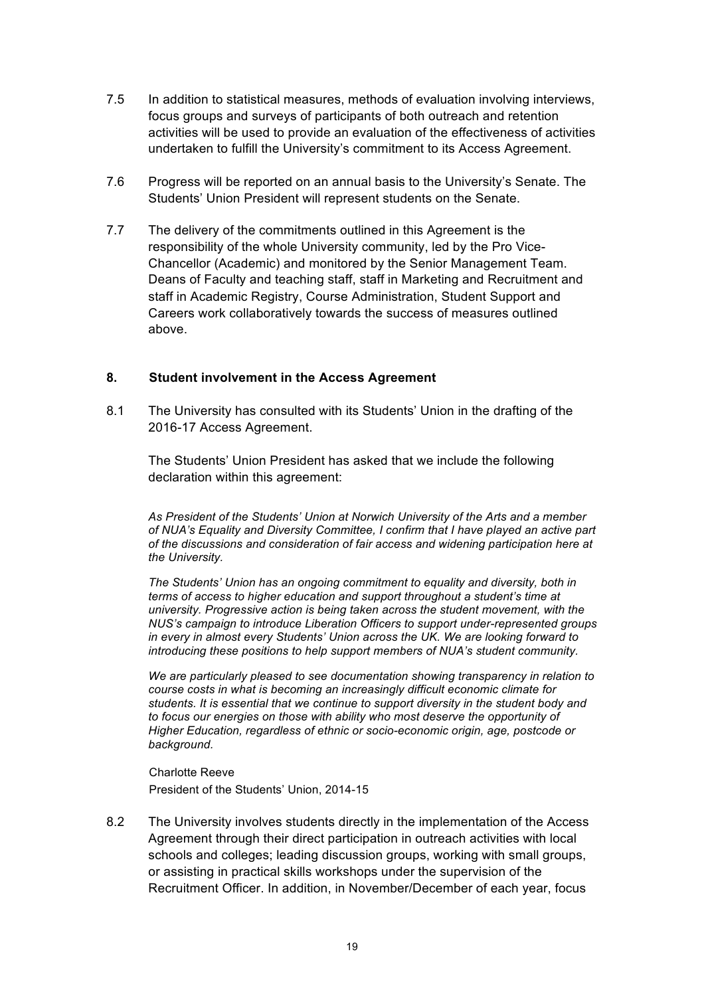- 7.5 In addition to statistical measures, methods of evaluation involving interviews, focus groups and surveys of participants of both outreach and retention activities will be used to provide an evaluation of the effectiveness of activities undertaken to fulfill the University's commitment to its Access Agreement.
- 7.6 Progress will be reported on an annual basis to the University's Senate. The Students' Union President will represent students on the Senate.
- 7.7 The delivery of the commitments outlined in this Agreement is the responsibility of the whole University community, led by the Pro Vice-Chancellor (Academic) and monitored by the Senior Management Team. Deans of Faculty and teaching staff, staff in Marketing and Recruitment and staff in Academic Registry, Course Administration, Student Support and Careers work collaboratively towards the success of measures outlined above.

# **8. Student involvement in the Access Agreement**

8.1 The University has consulted with its Students' Union in the drafting of the 2016-17 Access Agreement.

The Students' Union President has asked that we include the following declaration within this agreement:

*As President of the Students' Union at Norwich University of the Arts and a member of NUA's Equality and Diversity Committee, I confirm that I have played an active part of the discussions and consideration of fair access and widening participation here at the University.*

*The Students' Union has an ongoing commitment to equality and diversity, both in terms of access to higher education and support throughout a student's time at university. Progressive action is being taken across the student movement, with the NUS's campaign to introduce Liberation Officers to support under-represented groups in every in almost every Students' Union across the UK. We are looking forward to introducing these positions to help support members of NUA's student community.*

*We are particularly pleased to see documentation showing transparency in relation to course costs in what is becoming an increasingly difficult economic climate for students. It is essential that we continue to support diversity in the student body and to focus our energies on those with ability who most deserve the opportunity of Higher Education, regardless of ethnic or socio-economic origin, age, postcode or background.*

Charlotte Reeve President of the Students' Union, 2014-15

8.2 The University involves students directly in the implementation of the Access Agreement through their direct participation in outreach activities with local schools and colleges; leading discussion groups, working with small groups, or assisting in practical skills workshops under the supervision of the Recruitment Officer. In addition, in November/December of each year, focus